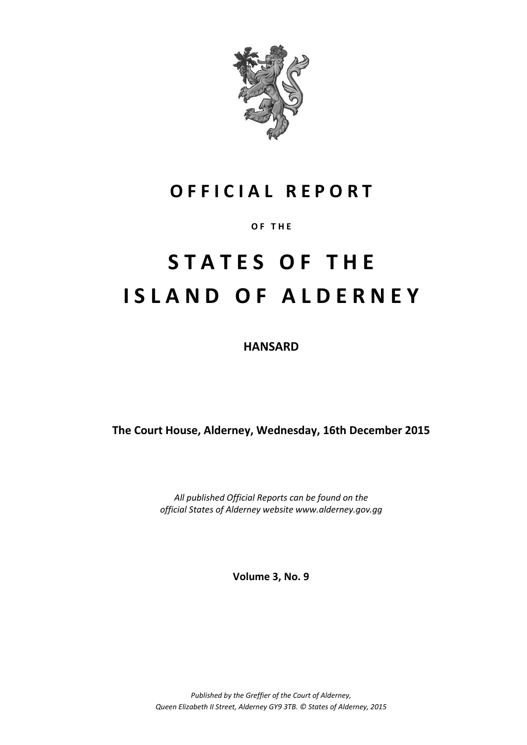

# **O F F I C I A L R E P O R T**

# **O F T H E**

# **S T A T E S O F T H E I S L A N D O F A L D E R N E Y**

**HANSARD**

**The Court House, Alderney, Wednesday, 16th December 2015**

*All published Official Reports can be found on the official States of Alderney website www.alderney.gov.gg*

**Volume 3, No. 9**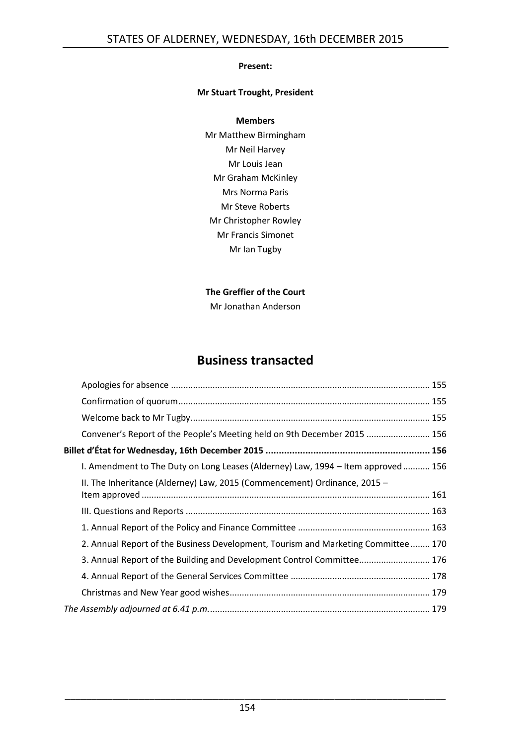## **Present:**

# **Mr Stuart Trought, President**

#### **Members**

Mr Matthew Birmingham Mr Neil Harvey Mr Louis Jean Mr Graham McKinley Mrs Norma Paris Mr Steve Roberts Mr Christopher Rowley Mr Francis Simonet Mr Ian Tugby

# **The Greffier of the Court**

Mr Jonathan Anderson

# **Business transacted**

| Billet d'État for Wednesday, 16th December 2015 ………………………………………………………… 156  |                                                                                                                                                                                                                                                                                                                              |
|-----------------------------------------------------------------------------|------------------------------------------------------------------------------------------------------------------------------------------------------------------------------------------------------------------------------------------------------------------------------------------------------------------------------|
|                                                                             |                                                                                                                                                                                                                                                                                                                              |
| II. The Inheritance (Alderney) Law, 2015 (Commencement) Ordinance, 2015 $-$ |                                                                                                                                                                                                                                                                                                                              |
|                                                                             |                                                                                                                                                                                                                                                                                                                              |
|                                                                             |                                                                                                                                                                                                                                                                                                                              |
|                                                                             |                                                                                                                                                                                                                                                                                                                              |
|                                                                             |                                                                                                                                                                                                                                                                                                                              |
|                                                                             |                                                                                                                                                                                                                                                                                                                              |
|                                                                             |                                                                                                                                                                                                                                                                                                                              |
|                                                                             |                                                                                                                                                                                                                                                                                                                              |
|                                                                             |                                                                                                                                                                                                                                                                                                                              |
|                                                                             | Convener's Report of the People's Meeting held on 9th December 2015  156<br>I. Amendment to The Duty on Long Leases (Alderney) Law, 1994 - Item approved  156<br>2. Annual Report of the Business Development, Tourism and Marketing Committee 170<br>3. Annual Report of the Building and Development Control Committee 176 |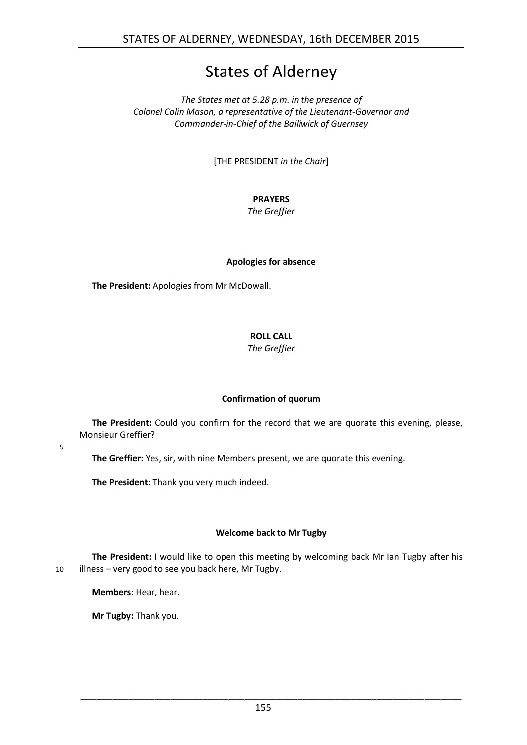# States of Alderney

*The States met at 5.28 p.m. in the presence of Colonel Colin Mason, a representative of the Lieutenant-Governor and Commander-in-Chief of the Bailiwick of Guernsey*

[THE PRESIDENT *in the Chair*]

# **PRAYERS**

*The Greffier*

# **Apologies for absence**

<span id="page-2-0"></span>**The President:** Apologies from Mr McDowall.

# **ROLL CALL**

*The Greffier*

# **Confirmation of quorum**

<span id="page-2-1"></span>**The President:** Could you confirm for the record that we are quorate this evening, please, Monsieur Greffier?

5

**The Greffier:** Yes, sir, with nine Members present, we are quorate this evening.

**The President:** Thank you very much indeed.

# **Welcome back to Mr Tugby**

<span id="page-2-2"></span>**The President:** I would like to open this meeting by welcoming back Mr Ian Tugby after his 10 illness – very good to see you back here, Mr Tugby.

**Members:** Hear, hear.

**Mr Tugby:** Thank you.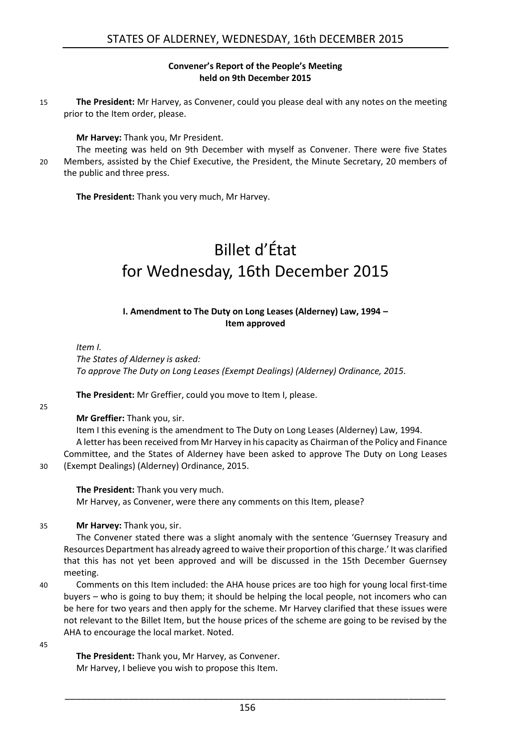#### **Convener's Report of the People's Meeting held on 9th December 2015**

<span id="page-3-0"></span>15 **The President:** Mr Harvey, as Convener, could you please deal with any notes on the meeting prior to the Item order, please.

#### **Mr Harvey:** Thank you, Mr President.

The meeting was held on 9th December with myself as Convener. There were five States 20 Members, assisted by the Chief Executive, the President, the Minute Secretary, 20 members of the public and three press.

<span id="page-3-1"></span>**The President:** Thank you very much, Mr Harvey.

# Billet d'État for Wednesday, 16th December 2015

### **I. Amendment to The Duty on Long Leases (Alderney) Law, 1994 – Item approved**

<span id="page-3-2"></span>*Item I.*

*The States of Alderney is asked: To approve The Duty on Long Leases (Exempt Dealings) (Alderney) Ordinance, 2015.*

**The President:** Mr Greffier, could you move to Item I, please.

25

#### **Mr Greffier:** Thank you, sir.

Item I this evening is the amendment to The Duty on Long Leases (Alderney) Law, 1994. A letter has been received from Mr Harvey in his capacity as Chairman of the Policy and Finance Committee, and the States of Alderney have been asked to approve The Duty on Long Leases 30 (Exempt Dealings) (Alderney) Ordinance, 2015.

**The President:** Thank you very much.

Mr Harvey, as Convener, were there any comments on this Item, please?

#### 35 **Mr Harvey:** Thank you, sir.

The Convener stated there was a slight anomaly with the sentence 'Guernsey Treasury and Resources Department has already agreed to waive their proportion of this charge.' It was clarified that this has not yet been approved and will be discussed in the 15th December Guernsey meeting.

40 Comments on this Item included: the AHA house prices are too high for young local first-time buyers – who is going to buy them; it should be helping the local people, not incomers who can be here for two years and then apply for the scheme. Mr Harvey clarified that these issues were not relevant to the Billet Item, but the house prices of the scheme are going to be revised by the AHA to encourage the local market. Noted.

45

**The President:** Thank you, Mr Harvey, as Convener. Mr Harvey, I believe you wish to propose this Item.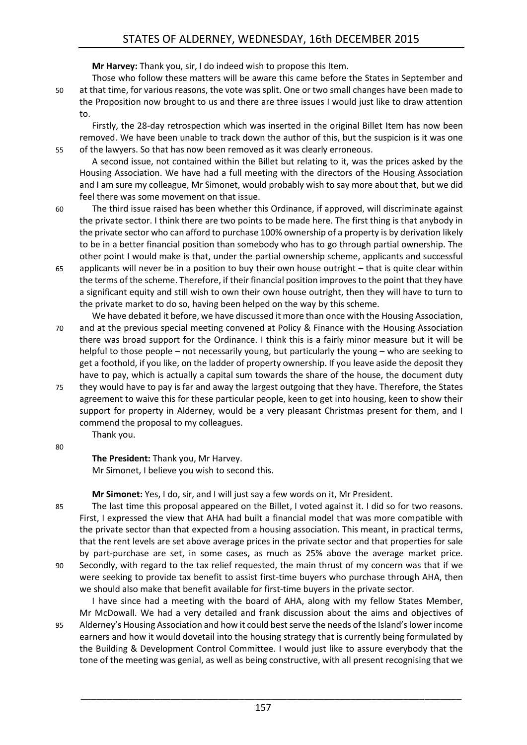**Mr Harvey:** Thank you, sir, I do indeed wish to propose this Item.

Those who follow these matters will be aware this came before the States in September and 50 at that time, for various reasons, the vote was split. One or two small changes have been made to the Proposition now brought to us and there are three issues I would just like to draw attention to.

Firstly, the 28-day retrospection which was inserted in the original Billet Item has now been removed. We have been unable to track down the author of this, but the suspicion is it was one 55 of the lawyers. So that has now been removed as it was clearly erroneous.

A second issue, not contained within the Billet but relating to it, was the prices asked by the Housing Association. We have had a full meeting with the directors of the Housing Association and I am sure my colleague, Mr Simonet, would probably wish to say more about that, but we did feel there was some movement on that issue.

60 The third issue raised has been whether this Ordinance, if approved, will discriminate against the private sector. I think there are two points to be made here. The first thing is that anybody in the private sector who can afford to purchase 100% ownership of a property is by derivation likely to be in a better financial position than somebody who has to go through partial ownership. The other point I would make is that, under the partial ownership scheme, applicants and successful

65 applicants will never be in a position to buy their own house outright – that is quite clear within the terms of the scheme. Therefore, if their financial position improves to the point that they have a significant equity and still wish to own their own house outright, then they will have to turn to the private market to do so, having been helped on the way by this scheme.

We have debated it before, we have discussed it more than once with the Housing Association, 70 and at the previous special meeting convened at Policy & Finance with the Housing Association there was broad support for the Ordinance. I think this is a fairly minor measure but it will be helpful to those people – not necessarily young, but particularly the young – who are seeking to get a foothold, if you like, on the ladder of property ownership. If you leave aside the deposit they have to pay, which is actually a capital sum towards the share of the house, the document duty 75 they would have to pay is far and away the largest outgoing that they have. Therefore, the States agreement to waive this for these particular people, keen to get into housing, keen to show their support for property in Alderney, would be a very pleasant Christmas present for them, and I commend the proposal to my colleagues.

Thank you.

80

# **The President:** Thank you, Mr Harvey.

Mr Simonet, I believe you wish to second this.

**Mr Simonet:** Yes, I do, sir, and I will just say a few words on it, Mr President.

85 The last time this proposal appeared on the Billet, I voted against it. I did so for two reasons. First, I expressed the view that AHA had built a financial model that was more compatible with the private sector than that expected from a housing association. This meant, in practical terms, that the rent levels are set above average prices in the private sector and that properties for sale by part-purchase are set, in some cases, as much as 25% above the average market price. 90 Secondly, with regard to the tax relief requested, the main thrust of my concern was that if we were seeking to provide tax benefit to assist first-time buyers who purchase through AHA, then we should also make that benefit available for first-time buyers in the private sector.

I have since had a meeting with the board of AHA, along with my fellow States Member, Mr McDowall. We had a very detailed and frank discussion about the aims and objectives of 95 Alderney's Housing Association and how it could best serve the needs of the Island's lower income earners and how it would dovetail into the housing strategy that is currently being formulated by the Building & Development Control Committee. I would just like to assure everybody that the tone of the meeting was genial, as well as being constructive, with all present recognising that we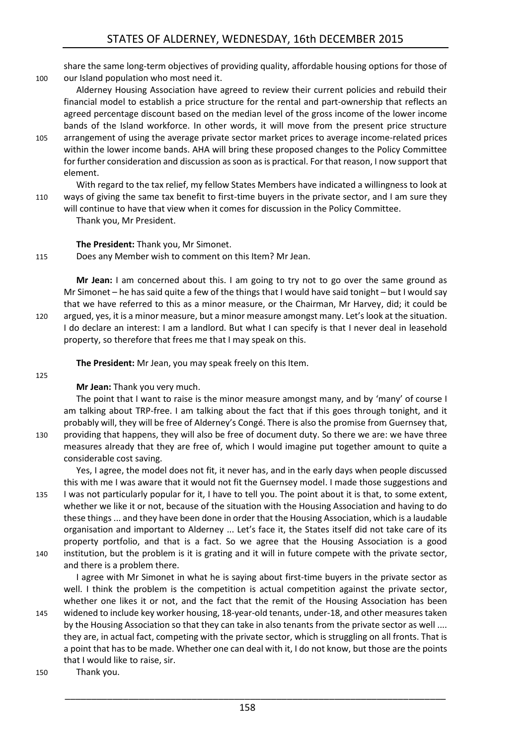share the same long-term objectives of providing quality, affordable housing options for those of 100 our Island population who most need it.

Alderney Housing Association have agreed to review their current policies and rebuild their financial model to establish a price structure for the rental and part-ownership that reflects an agreed percentage discount based on the median level of the gross income of the lower income bands of the Island workforce. In other words, it will move from the present price structure

105 arrangement of using the average private sector market prices to average income-related prices within the lower income bands. AHA will bring these proposed changes to the Policy Committee for further consideration and discussion as soon as is practical. For that reason, I now support that element.

With regard to the tax relief, my fellow States Members have indicated a willingness to look at 110 ways of giving the same tax benefit to first-time buyers in the private sector, and I am sure they will continue to have that view when it comes for discussion in the Policy Committee.

Thank you, Mr President.

**The President:** Thank you, Mr Simonet.

115 Does any Member wish to comment on this Item? Mr Jean.

**Mr Jean:** I am concerned about this. I am going to try not to go over the same ground as Mr Simonet – he has said quite a few of the things that I would have said tonight – but I would say that we have referred to this as a minor measure, or the Chairman, Mr Harvey, did; it could be 120 argued, yes, it is a minor measure, but a minor measure amongst many. Let's look at the situation. I do declare an interest: I am a landlord. But what I can specify is that I never deal in leasehold property, so therefore that frees me that I may speak on this.

**The President:** Mr Jean, you may speak freely on this Item.

125

# **Mr Jean:** Thank you very much.

The point that I want to raise is the minor measure amongst many, and by 'many' of course I am talking about TRP-free. I am talking about the fact that if this goes through tonight, and it probably will, they will be free of Alderney's Congé. There is also the promise from Guernsey that, 130 providing that happens, they will also be free of document duty. So there we are: we have three measures already that they are free of, which I would imagine put together amount to quite a considerable cost saving.

Yes, I agree, the model does not fit, it never has, and in the early days when people discussed this with me I was aware that it would not fit the Guernsey model. I made those suggestions and 135 I was not particularly popular for it, I have to tell you. The point about it is that, to some extent, whether we like it or not, because of the situation with the Housing Association and having to do these things ... and they have been done in order that the Housing Association, which is a laudable organisation and important to Alderney ... Let's face it, the States itself did not take care of its property portfolio, and that is a fact. So we agree that the Housing Association is a good 140 institution, but the problem is it is grating and it will in future compete with the private sector,

and there is a problem there.

I agree with Mr Simonet in what he is saying about first-time buyers in the private sector as well. I think the problem is the competition is actual competition against the private sector, whether one likes it or not, and the fact that the remit of the Housing Association has been 145 widened to include key worker housing, 18-year-old tenants, under-18, and other measures taken by the Housing Association so that they can take in also tenants from the private sector as well ....

they are, in actual fact, competing with the private sector, which is struggling on all fronts. That is a point that has to be made. Whether one can deal with it, I do not know, but those are the points that I would like to raise, sir.

150 Thank you.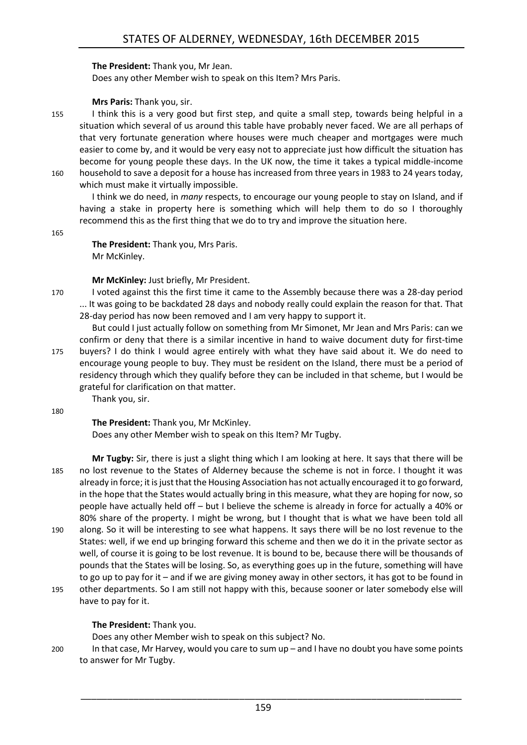#### **The President:** Thank you, Mr Jean.

Does any other Member wish to speak on this Item? Mrs Paris.

#### **Mrs Paris:** Thank you, sir.

155 I think this is a very good but first step, and quite a small step, towards being helpful in a situation which several of us around this table have probably never faced. We are all perhaps of that very fortunate generation where houses were much cheaper and mortgages were much easier to come by, and it would be very easy not to appreciate just how difficult the situation has become for young people these days. In the UK now, the time it takes a typical middle-income 160 household to save a deposit for a house has increased from three years in 1983 to 24 years today,

which must make it virtually impossible.

I think we do need, in *many* respects, to encourage our young people to stay on Island, and if having a stake in property here is something which will help them to do so I thoroughly recommend this as the first thing that we do to try and improve the situation here.

#### 165

**The President:** Thank you, Mrs Paris. Mr McKinley.

#### **Mr McKinley:** Just briefly, Mr President.

170 I voted against this the first time it came to the Assembly because there was a 28-day period ... It was going to be backdated 28 days and nobody really could explain the reason for that. That 28-day period has now been removed and I am very happy to support it.

But could I just actually follow on something from Mr Simonet, Mr Jean and Mrs Paris: can we confirm or deny that there is a similar incentive in hand to waive document duty for first-time 175 buyers? I do think I would agree entirely with what they have said about it. We do need to encourage young people to buy. They must be resident on the Island, there must be a period of residency through which they qualify before they can be included in that scheme, but I would be grateful for clarification on that matter.

Thank you, sir.

180

**The President:** Thank you, Mr McKinley.

Does any other Member wish to speak on this Item? Mr Tugby.

**Mr Tugby:** Sir, there is just a slight thing which I am looking at here. It says that there will be 185 no lost revenue to the States of Alderney because the scheme is not in force. I thought it was already in force; it is just that the Housing Association has not actually encouraged it to go forward, in the hope that the States would actually bring in this measure, what they are hoping for now, so people have actually held off – but I believe the scheme is already in force for actually a 40% or 80% share of the property. I might be wrong, but I thought that is what we have been told all 190 along. So it will be interesting to see what happens. It says there will be no lost revenue to the States: well, if we end up bringing forward this scheme and then we do it in the private sector as well, of course it is going to be lost revenue. It is bound to be, because there will be thousands of pounds that the States will be losing. So, as everything goes up in the future, something will have to go up to pay for it – and if we are giving money away in other sectors, it has got to be found in 195 other departments. So I am still not happy with this, because sooner or later somebody else will have to pay for it.

# **The President:** Thank you.

Does any other Member wish to speak on this subject? No.

200 In that case, Mr Harvey, would you care to sum up – and I have no doubt you have some points to answer for Mr Tugby.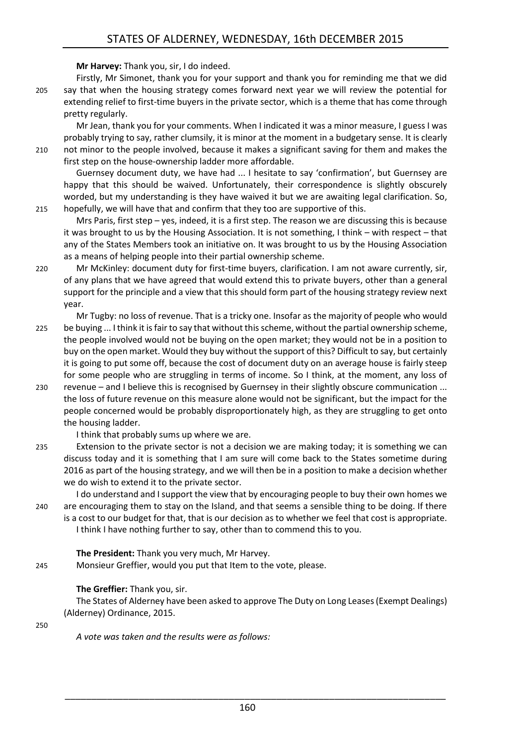**Mr Harvey:** Thank you, sir, I do indeed.

Firstly, Mr Simonet, thank you for your support and thank you for reminding me that we did 205 say that when the housing strategy comes forward next year we will review the potential for extending relief to first-time buyers in the private sector, which is a theme that has come through pretty regularly.

Mr Jean, thank you for your comments. When I indicated it was a minor measure, I guess I was probably trying to say, rather clumsily, it is minor at the moment in a budgetary sense. It is clearly 210 not minor to the people involved, because it makes a significant saving for them and makes the first step on the house-ownership ladder more affordable.

Guernsey document duty, we have had ... I hesitate to say 'confirmation', but Guernsey are happy that this should be waived. Unfortunately, their correspondence is slightly obscurely worded, but my understanding is they have waived it but we are awaiting legal clarification. So, 215 hopefully, we will have that and confirm that they too are supportive of this.

Mrs Paris, first step – yes, indeed, it is a first step. The reason we are discussing this is because it was brought to us by the Housing Association. It is not something, I think – with respect – that any of the States Members took an initiative on. It was brought to us by the Housing Association as a means of helping people into their partial ownership scheme.

220 Mr McKinley: document duty for first-time buyers, clarification. I am not aware currently, sir, of any plans that we have agreed that would extend this to private buyers, other than a general support for the principle and a view that this should form part of the housing strategy review next year.

Mr Tugby: no loss of revenue. That is a tricky one. Insofar as the majority of people who would 225 be buying ... I think it is fair to say that without this scheme, without the partial ownership scheme, the people involved would not be buying on the open market; they would not be in a position to buy on the open market. Would they buy without the support of this? Difficult to say, but certainly it is going to put some off, because the cost of document duty on an average house is fairly steep for some people who are struggling in terms of income. So I think, at the moment, any loss of

230 revenue – and I believe this is recognised by Guernsey in their slightly obscure communication ... the loss of future revenue on this measure alone would not be significant, but the impact for the people concerned would be probably disproportionately high, as they are struggling to get onto the housing ladder.

I think that probably sums up where we are.

235 Extension to the private sector is not a decision we are making today; it is something we can discuss today and it is something that I am sure will come back to the States sometime during 2016 as part of the housing strategy, and we will then be in a position to make a decision whether we do wish to extend it to the private sector.

I do understand and I support the view that by encouraging people to buy their own homes we 240 are encouraging them to stay on the Island, and that seems a sensible thing to be doing. If there is a cost to our budget for that, that is our decision as to whether we feel that cost is appropriate. I think I have nothing further to say, other than to commend this to you.

**The President:** Thank you very much, Mr Harvey.

245 Monsieur Greffier, would you put that Item to the vote, please.

# **The Greffier:** Thank you, sir.

The States of Alderney have been asked to approve The Duty on Long Leases (Exempt Dealings) (Alderney) Ordinance, 2015.

250

*A vote was taken and the results were as follows:*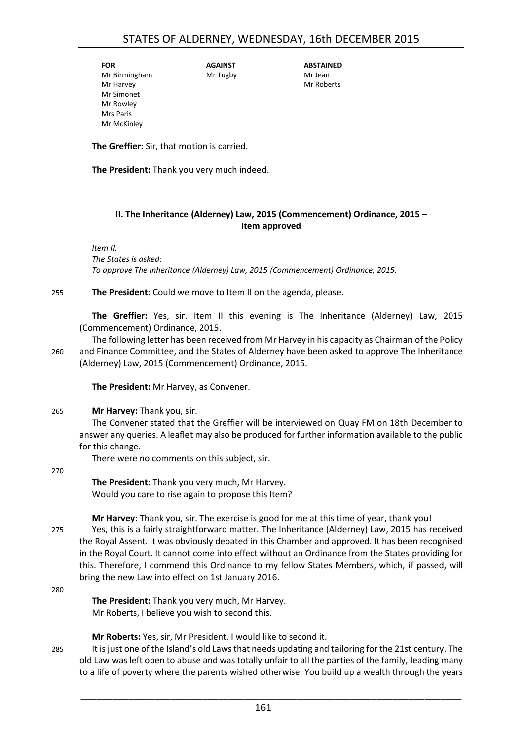**FOR** Mr Birmingham Mr Harvey Mr Simonet Mr Rowley Mrs Paris Mr McKinley

Mr Tugby

**AGAINST**

**ABSTAINED** Mr Jean Mr Roberts

**The Greffier:** Sir, that motion is carried.

**The President:** Thank you very much indeed.

## <span id="page-8-0"></span>**II. The Inheritance (Alderney) Law, 2015 (Commencement) Ordinance, 2015 – Item approved**

*Item II. The States is asked: To approve The Inheritance (Alderney) Law, 2015 (Commencement) Ordinance, 2015.*

#### 255 **The President:** Could we move to Item II on the agenda, please.

**The Greffier:** Yes, sir. Item II this evening is The Inheritance (Alderney) Law, 2015 (Commencement) Ordinance, 2015.

The following letter has been received from Mr Harvey in his capacity as Chairman of the Policy 260 and Finance Committee, and the States of Alderney have been asked to approve The Inheritance (Alderney) Law, 2015 (Commencement) Ordinance, 2015.

**The President:** Mr Harvey, as Convener.

### 265 **Mr Harvey:** Thank you, sir.

The Convener stated that the Greffier will be interviewed on Quay FM on 18th December to answer any queries. A leaflet may also be produced for further information available to the public for this change.

There were no comments on this subject, sir.

#### 270

**The President:** Thank you very much, Mr Harvey. Would you care to rise again to propose this Item?

**Mr Harvey:** Thank you, sir. The exercise is good for me at this time of year, thank you!

275 Yes, this is a fairly straightforward matter. The Inheritance (Alderney) Law, 2015 has received the Royal Assent. It was obviously debated in this Chamber and approved. It has been recognised in the Royal Court. It cannot come into effect without an Ordinance from the States providing for this. Therefore, I commend this Ordinance to my fellow States Members, which, if passed, will bring the new Law into effect on 1st January 2016.

280

**The President:** Thank you very much, Mr Harvey. Mr Roberts, I believe you wish to second this.

**Mr Roberts:** Yes, sir, Mr President. I would like to second it.

285 It is just one of the Island's old Laws that needs updating and tailoring for the 21st century. The old Law was left open to abuse and was totally unfair to all the parties of the family, leading many to a life of poverty where the parents wished otherwise. You build up a wealth through the years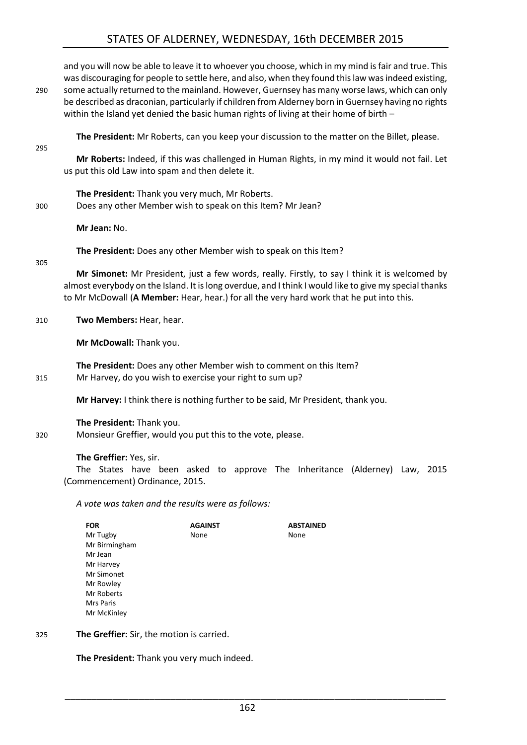# STATES OF ALDERNEY, WEDNESDAY, 16th DECEMBER 2015

and you will now be able to leave it to whoever you choose, which in my mind is fair and true. This was discouraging for people to settle here, and also, when they found this law was indeed existing, 290 some actually returned to the mainland. However, Guernsey has many worse laws, which can only be described as draconian, particularly if children from Alderney born in Guernsey having no rights within the Island yet denied the basic human rights of living at their home of birth – **The President:** Mr Roberts, can you keep your discussion to the matter on the Billet, please. 295 **Mr Roberts:** Indeed, if this was challenged in Human Rights, in my mind it would not fail. Let us put this old Law into spam and then delete it. **The President:** Thank you very much, Mr Roberts. 300 Does any other Member wish to speak on this Item? Mr Jean? **Mr Jean:** No. **The President:** Does any other Member wish to speak on this Item? 305 **Mr Simonet:** Mr President, just a few words, really. Firstly, to say I think it is welcomed by almost everybody on the Island. It is long overdue, and I think I would like to give my special thanks to Mr McDowall (**A Member:** Hear, hear.) for all the very hard work that he put into this. 310 **Two Members:** Hear, hear. **Mr McDowall:** Thank you. **The President:** Does any other Member wish to comment on this Item? 315 Mr Harvey, do you wish to exercise your right to sum up? **Mr Harvey:** I think there is nothing further to be said, Mr President, thank you. **The President:** Thank you. 320 Monsieur Greffier, would you put this to the vote, please.

**The Greffier:** Yes, sir.

The States have been asked to approve The Inheritance (Alderney) Law, 2015 (Commencement) Ordinance, 2015.

*A vote was taken and the results were as follows:*

| <b>FOR</b>    | <b>AGAINST</b> | <b>ABSTAINED</b> |
|---------------|----------------|------------------|
| Mr Tugby      | None           | None             |
| Mr Birmingham |                |                  |
| Mr Jean       |                |                  |
| Mr Harvey     |                |                  |
| Mr Simonet    |                |                  |
| Mr Rowley     |                |                  |
| Mr Roberts    |                |                  |
| Mrs Paris     |                |                  |
| Mr McKinley   |                |                  |

325 **The Greffier:** Sir, the motion is carried.

**The President:** Thank you very much indeed.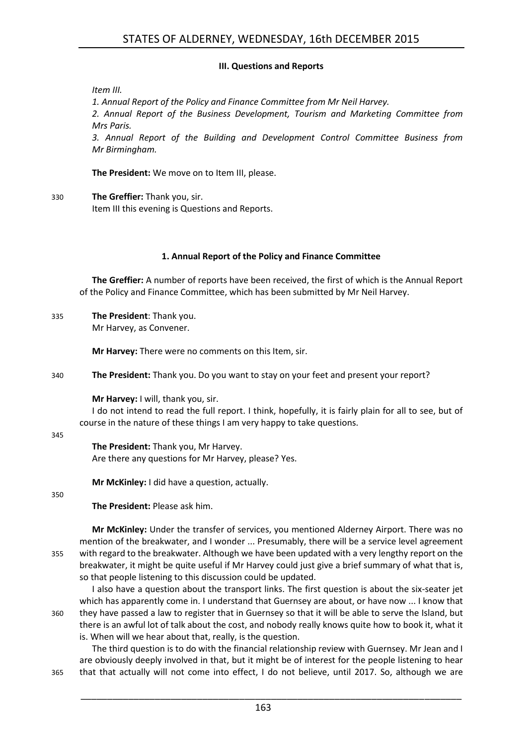#### **III. Questions and Reports**

<span id="page-10-0"></span>*Item III.*

*1. Annual Report of the Policy and Finance Committee from Mr Neil Harvey. 2. Annual Report of the Business Development, Tourism and Marketing Committee from Mrs Paris.*

*3. Annual Report of the Building and Development Control Committee Business from Mr Birmingham.*

**The President:** We move on to Item III, please.

330 **The Greffier:** Thank you, sir. Item III this evening is Questions and Reports.

### **1. Annual Report of the Policy and Finance Committee**

<span id="page-10-1"></span>**The Greffier:** A number of reports have been received, the first of which is the Annual Report of the Policy and Finance Committee, which has been submitted by Mr Neil Harvey.

335 **The President**: Thank you.

Mr Harvey, as Convener.

**Mr Harvey:** There were no comments on this Item, sir.

340 **The President:** Thank you. Do you want to stay on your feet and present your report?

**Mr Harvey:** I will, thank you, sir.

I do not intend to read the full report. I think, hopefully, it is fairly plain for all to see, but of course in the nature of these things I am very happy to take questions.

#### 345

**The President:** Thank you, Mr Harvey. Are there any questions for Mr Harvey, please? Yes.

**Mr McKinley:** I did have a question, actually.

### 350

**The President:** Please ask him.

**Mr McKinley:** Under the transfer of services, you mentioned Alderney Airport. There was no mention of the breakwater, and I wonder ... Presumably, there will be a service level agreement 355 with regard to the breakwater. Although we have been updated with a very lengthy report on the breakwater, it might be quite useful if Mr Harvey could just give a brief summary of what that is, so that people listening to this discussion could be updated.

I also have a question about the transport links. The first question is about the six-seater jet which has apparently come in. I understand that Guernsey are about, or have now ... I know that 360 they have passed a law to register that in Guernsey so that it will be able to serve the Island, but there is an awful lot of talk about the cost, and nobody really knows quite how to book it, what it is. When will we hear about that, really, is the question.

The third question is to do with the financial relationship review with Guernsey. Mr Jean and I are obviously deeply involved in that, but it might be of interest for the people listening to hear 365 that that actually will not come into effect, I do not believe, until 2017. So, although we are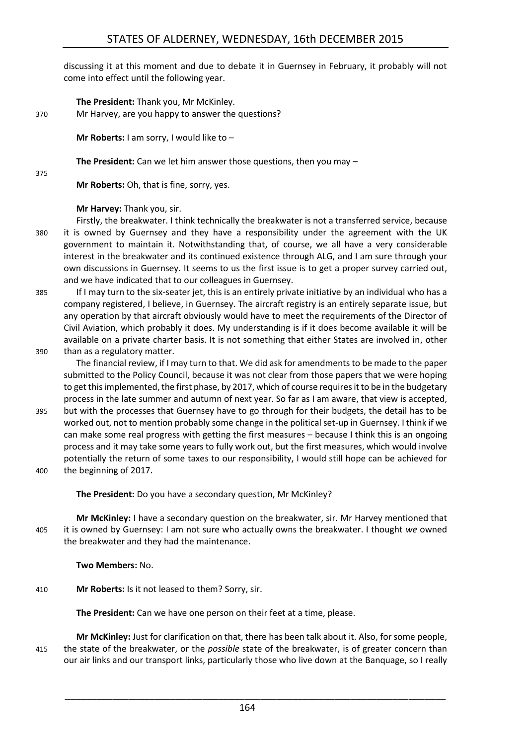discussing it at this moment and due to debate it in Guernsey in February, it probably will not come into effect until the following year.

**The President:** Thank you, Mr McKinley.

370 Mr Harvey, are you happy to answer the questions?

**Mr Roberts:** I am sorry, I would like to –

**The President:** Can we let him answer those questions, then you may –

375

**Mr Roberts:** Oh, that is fine, sorry, yes.

# **Mr Harvey:** Thank you, sir.

- Firstly, the breakwater. I think technically the breakwater is not a transferred service, because 380 it is owned by Guernsey and they have a responsibility under the agreement with the UK government to maintain it. Notwithstanding that, of course, we all have a very considerable interest in the breakwater and its continued existence through ALG, and I am sure through your own discussions in Guernsey. It seems to us the first issue is to get a proper survey carried out, and we have indicated that to our colleagues in Guernsey.
- 385 If I may turn to the six-seater jet, this is an entirely private initiative by an individual who has a company registered, I believe, in Guernsey. The aircraft registry is an entirely separate issue, but any operation by that aircraft obviously would have to meet the requirements of the Director of Civil Aviation, which probably it does. My understanding is if it does become available it will be available on a private charter basis. It is not something that either States are involved in, other 390 than as a regulatory matter.
	- The financial review, if I may turn to that. We did ask for amendments to be made to the paper submitted to the Policy Council, because it was not clear from those papers that we were hoping to get this implemented, the first phase, by 2017, which of course requires it to be in the budgetary process in the late summer and autumn of next year. So far as I am aware, that view is accepted,
- 395 but with the processes that Guernsey have to go through for their budgets, the detail has to be worked out, not to mention probably some change in the political set-up in Guernsey. I think if we can make some real progress with getting the first measures – because I think this is an ongoing process and it may take some years to fully work out, but the first measures, which would involve potentially the return of some taxes to our responsibility, I would still hope can be achieved for 400 the beginning of 2017.
- 

**The President:** Do you have a secondary question, Mr McKinley?

**Mr McKinley:** I have a secondary question on the breakwater, sir. Mr Harvey mentioned that 405 it is owned by Guernsey: I am not sure who actually owns the breakwater. I thought *we* owned the breakwater and they had the maintenance.

**Two Members:** No.

410 **Mr Roberts:** Is it not leased to them? Sorry, sir.

**The President:** Can we have one person on their feet at a time, please.

**Mr McKinley:** Just for clarification on that, there has been talk about it. Also, for some people, 415 the state of the breakwater, or the *possible* state of the breakwater, is of greater concern than our air links and our transport links, particularly those who live down at the Banquage, so I really

164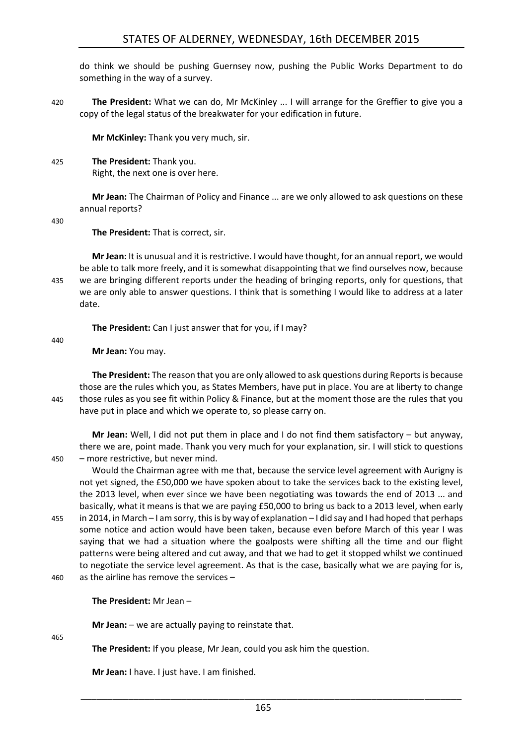do think we should be pushing Guernsey now, pushing the Public Works Department to do something in the way of a survey.

420 **The President:** What we can do, Mr McKinley ... I will arrange for the Greffier to give you a copy of the legal status of the breakwater for your edification in future.

**Mr McKinley:** Thank you very much, sir.

425 **The President:** Thank you. Right, the next one is over here.

> **Mr Jean:** The Chairman of Policy and Finance ... are we only allowed to ask questions on these annual reports?

430

**The President:** That is correct, sir.

**Mr Jean:** It is unusual and it isrestrictive. I would have thought, for an annual report, we would be able to talk more freely, and it is somewhat disappointing that we find ourselves now, because 435 we are bringing different reports under the heading of bringing reports, only for questions, that we are only able to answer questions. I think that is something I would like to address at a later date.

**The President:** Can I just answer that for you, if I may?

440

# **Mr Jean:** You may.

**The President:** The reason that you are only allowed to ask questions during Reports is because those are the rules which you, as States Members, have put in place. You are at liberty to change 445 those rules as you see fit within Policy & Finance, but at the moment those are the rules that you have put in place and which we operate to, so please carry on.

**Mr Jean:** Well, I did not put them in place and I do not find them satisfactory – but anyway, there we are, point made. Thank you very much for your explanation, sir. I will stick to questions 450 – more restrictive, but never mind.

Would the Chairman agree with me that, because the service level agreement with Aurigny is not yet signed, the £50,000 we have spoken about to take the services back to the existing level, the 2013 level, when ever since we have been negotiating was towards the end of 2013 ... and basically, what it means is that we are paying £50,000 to bring us back to a 2013 level, when early 455 in 2014, in March – I am sorry, this is by way of explanation – I did say and I had hoped that perhaps some notice and action would have been taken, because even before March of this year I was saying that we had a situation where the goalposts were shifting all the time and our flight patterns were being altered and cut away, and that we had to get it stopped whilst we continued to negotiate the service level agreement. As that is the case, basically what we are paying for is, 460 as the airline has remove the services –

### **The President:** Mr Jean –

**Mr Jean:** – we are actually paying to reinstate that.

 $465$ 

**The President:** If you please, Mr Jean, could you ask him the question.

**Mr Jean:** I have. I just have. I am finished.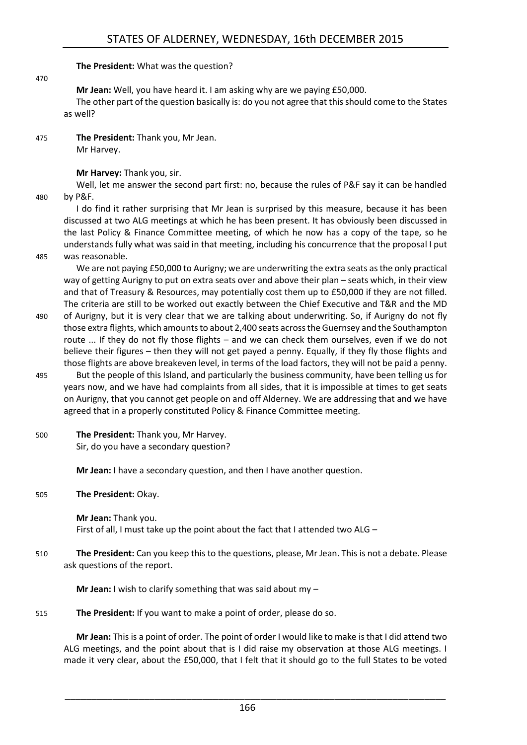**The President:** What was the question?

470

**Mr Jean:** Well, you have heard it. I am asking why are we paying £50,000.

The other part of the question basically is: do you not agree that this should come to the States as well?

475 **The President:** Thank you, Mr Jean. Mr Harvey.

#### **Mr Harvey:** Thank you, sir.

Well, let me answer the second part first: no, because the rules of P&F say it can be handled

480 by P&F.

I do find it rather surprising that Mr Jean is surprised by this measure, because it has been discussed at two ALG meetings at which he has been present. It has obviously been discussed in the last Policy & Finance Committee meeting, of which he now has a copy of the tape, so he understands fully what was said in that meeting, including his concurrence that the proposal I put 485 was reasonable.

We are not paying £50,000 to Aurigny; we are underwriting the extra seats as the only practical way of getting Aurigny to put on extra seats over and above their plan – seats which, in their view and that of Treasury & Resources, may potentially cost them up to £50,000 if they are not filled. The criteria are still to be worked out exactly between the Chief Executive and T&R and the MD

- 490 of Aurigny, but it is very clear that we are talking about underwriting. So, if Aurigny do not fly those extra flights, which amounts to about 2,400 seats across the Guernsey and the Southampton route ... If they do not fly those flights – and we can check them ourselves, even if we do not believe their figures – then they will not get payed a penny. Equally, if they fly those flights and those flights are above breakeven level, in terms of the load factors, they will not be paid a penny.
- 495 But the people of this Island, and particularly the business community, have been telling us for years now, and we have had complaints from all sides, that it is impossible at times to get seats on Aurigny, that you cannot get people on and off Alderney. We are addressing that and we have agreed that in a properly constituted Policy & Finance Committee meeting.
- 500 **The President:** Thank you, Mr Harvey. Sir, do you have a secondary question?

**Mr Jean:** I have a secondary question, and then I have another question.

505 **The President:** Okay.

**Mr Jean:** Thank you. First of all, I must take up the point about the fact that I attended two ALG –

510 **The President:** Can you keep this to the questions, please, Mr Jean. This is not a debate. Please ask questions of the report.

**Mr Jean:** I wish to clarify something that was said about my –

515 **The President:** If you want to make a point of order, please do so.

**Mr Jean:** This is a point of order. The point of order I would like to make is that I did attend two ALG meetings, and the point about that is I did raise my observation at those ALG meetings. I made it very clear, about the £50,000, that I felt that it should go to the full States to be voted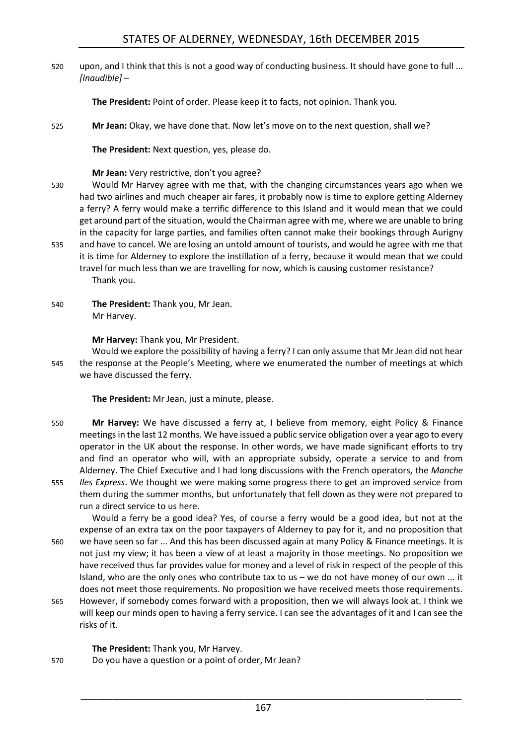520 upon, and I think that this is not a good way of conducting business. It should have gone to full ... *[Inaudible]* –

**The President:** Point of order. Please keep it to facts, not opinion. Thank you.

525 **Mr Jean:** Okay, we have done that. Now let's move on to the next question, shall we?

**The President:** Next question, yes, please do.

#### **Mr Jean:** Very restrictive, don't you agree?

- 530 Would Mr Harvey agree with me that, with the changing circumstances years ago when we had two airlines and much cheaper air fares, it probably now is time to explore getting Alderney a ferry? A ferry would make a terrific difference to this Island and it would mean that we could get around part of the situation, would the Chairman agree with me, where we are unable to bring in the capacity for large parties, and families often cannot make their bookings through Aurigny
- 535 and have to cancel. We are losing an untold amount of tourists, and would he agree with me that it is time for Alderney to explore the instillation of a ferry, because it would mean that we could travel for much less than we are travelling for now, which is causing customer resistance? Thank you.
- 540 **The President:** Thank you, Mr Jean. Mr Harvey.

**Mr Harvey:** Thank you, Mr President.

Would we explore the possibility of having a ferry? I can only assume that Mr Jean did not hear 545 the response at the People's Meeting, where we enumerated the number of meetings at which we have discussed the ferry.

**The President:** Mr Jean, just a minute, please.

- 550 **Mr Harvey:** We have discussed a ferry at, I believe from memory, eight Policy & Finance meetings in the last 12 months. We have issued a public service obligation over a year ago to every operator in the UK about the response. In other words, we have made significant efforts to try and find an operator who will, with an appropriate subsidy, operate a service to and from Alderney. The Chief Executive and I had long discussions with the French operators, the *Manche*
- 555 *Iles Express*. We thought we were making some progress there to get an improved service from them during the summer months, but unfortunately that fell down as they were not prepared to run a direct service to us here.

Would a ferry be a good idea? Yes, of course a ferry would be a good idea, but not at the expense of an extra tax on the poor taxpayers of Alderney to pay for it, and no proposition that 560 we have seen so far ... And this has been discussed again at many Policy & Finance meetings. It is not just my view; it has been a view of at least a majority in those meetings. No proposition we have received thus far provides value for money and a level of risk in respect of the people of this Island, who are the only ones who contribute tax to us – we do not have money of our own ... it does not meet those requirements. No proposition we have received meets those requirements.

565 However, if somebody comes forward with a proposition, then we will always look at. I think we will keep our minds open to having a ferry service. I can see the advantages of it and I can see the risks of it.

**The President:** Thank you, Mr Harvey.

570 Do you have a question or a point of order, Mr Jean?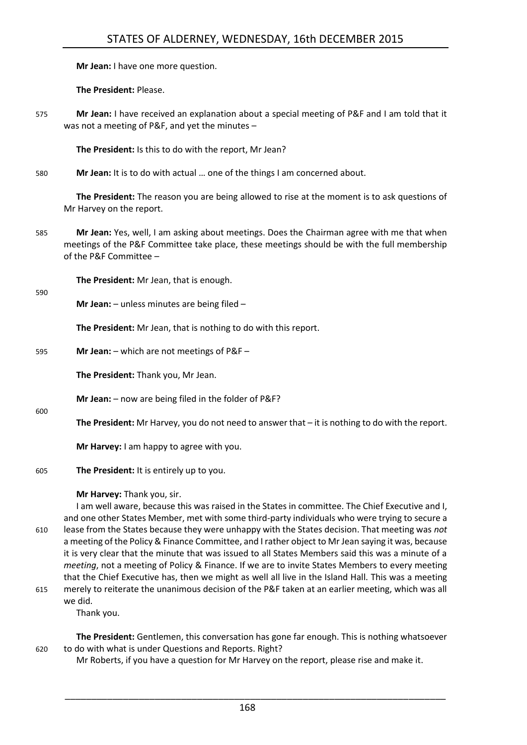**Mr Jean:** I have one more question.

**The President:** Please.

575 **Mr Jean:** I have received an explanation about a special meeting of P&F and I am told that it was not a meeting of P&F, and yet the minutes –

**The President:** Is this to do with the report, Mr Jean?

580 **Mr Jean:** It is to do with actual … one of the things I am concerned about.

**The President:** The reason you are being allowed to rise at the moment is to ask questions of Mr Harvey on the report.

585 **Mr Jean:** Yes, well, I am asking about meetings. Does the Chairman agree with me that when meetings of the P&F Committee take place, these meetings should be with the full membership of the P&F Committee –

**The President:** Mr Jean, that is enough.

590

600

**Mr Jean:** – unless minutes are being filed –

**The President:** Mr Jean, that is nothing to do with this report.

595 **Mr Jean:** – which are not meetings of P&F –

**The President:** Thank you, Mr Jean.

**Mr Jean:** – now are being filed in the folder of P&F?

**The President:** Mr Harvey, you do not need to answer that – it is nothing to do with the report.

**Mr Harvey:** I am happy to agree with you.

605 **The President:** It is entirely up to you.

**Mr Harvey:** Thank you, sir.

I am well aware, because this was raised in the States in committee. The Chief Executive and I, and one other States Member, met with some third-party individuals who were trying to secure a 610 lease from the States because they were unhappy with the States decision. That meeting was *not* a meeting of the Policy & Finance Committee, and I rather object to Mr Jean saying it was, because it is very clear that the minute that was issued to all States Members said this was a minute of a *meeting*, not a meeting of Policy & Finance. If we are to invite States Members to every meeting that the Chief Executive has, then we might as well all live in the Island Hall. This was a meeting 615 merely to reiterate the unanimous decision of the P&F taken at an earlier meeting, which was all we did.

Thank you.

**The President:** Gentlemen, this conversation has gone far enough. This is nothing whatsoever 620 to do with what is under Questions and Reports. Right?

Mr Roberts, if you have a question for Mr Harvey on the report, please rise and make it.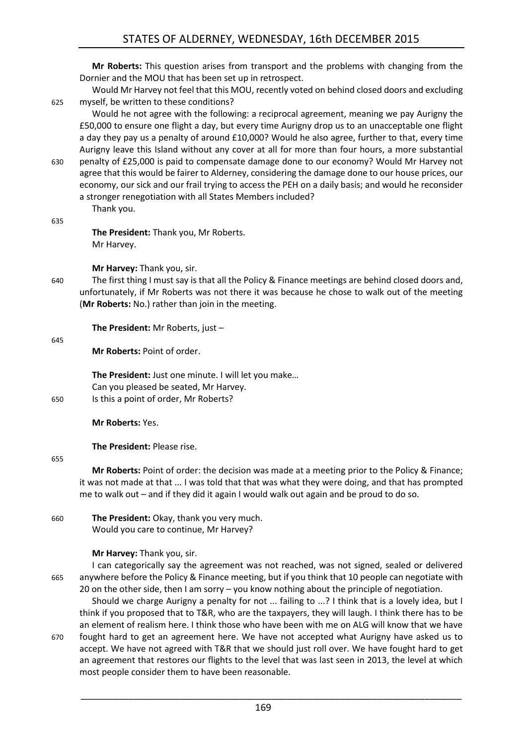**Mr Roberts:** This question arises from transport and the problems with changing from the Dornier and the MOU that has been set up in retrospect.

Would Mr Harvey not feel that this MOU, recently voted on behind closed doors and excluding 625 myself, be written to these conditions?

Would he not agree with the following: a reciprocal agreement, meaning we pay Aurigny the £50,000 to ensure one flight a day, but every time Aurigny drop us to an unacceptable one flight a day they pay us a penalty of around £10,000? Would he also agree, further to that, every time Aurigny leave this Island without any cover at all for more than four hours, a more substantial 630 penalty of £25,000 is paid to compensate damage done to our economy? Would Mr Harvey not

agree that this would be fairer to Alderney, considering the damage done to our house prices, our economy, our sick and our frail trying to access the PEH on a daily basis; and would he reconsider a stronger renegotiation with all States Members included?

Thank you.

635

**The President:** Thank you, Mr Roberts. Mr Harvey.

**Mr Harvey:** Thank you, sir.

640 The first thing I must say is that all the Policy & Finance meetings are behind closed doors and, unfortunately, if Mr Roberts was not there it was because he chose to walk out of the meeting (**Mr Roberts:** No.) rather than join in the meeting.

**The President:** Mr Roberts, just –

645

**Mr Roberts:** Point of order.

**The President:** Just one minute. I will let you make… Can you pleased be seated, Mr Harvey. 650 Is this a point of order, Mr Roberts?

**Mr Roberts:** Yes.

**The President:** Please rise.

655

**Mr Roberts:** Point of order: the decision was made at a meeting prior to the Policy & Finance; it was not made at that ... I was told that that was what they were doing, and that has prompted me to walk out – and if they did it again I would walk out again and be proud to do so.

660 **The President:** Okay, thank you very much. Would you care to continue, Mr Harvey?

**Mr Harvey:** Thank you, sir.

I can categorically say the agreement was not reached, was not signed, sealed or delivered 665 anywhere before the Policy & Finance meeting, but if you think that 10 people can negotiate with 20 on the other side, then I am sorry – you know nothing about the principle of negotiation.

- Should we charge Aurigny a penalty for not ... failing to ...? I think that is a lovely idea, but I think if you proposed that to T&R, who are the taxpayers, they will laugh. I think there has to be an element of realism here. I think those who have been with me on ALG will know that we have 670 fought hard to get an agreement here. We have not accepted what Aurigny have asked us to
- accept. We have not agreed with T&R that we should just roll over. We have fought hard to get an agreement that restores our flights to the level that was last seen in 2013, the level at which most people consider them to have been reasonable.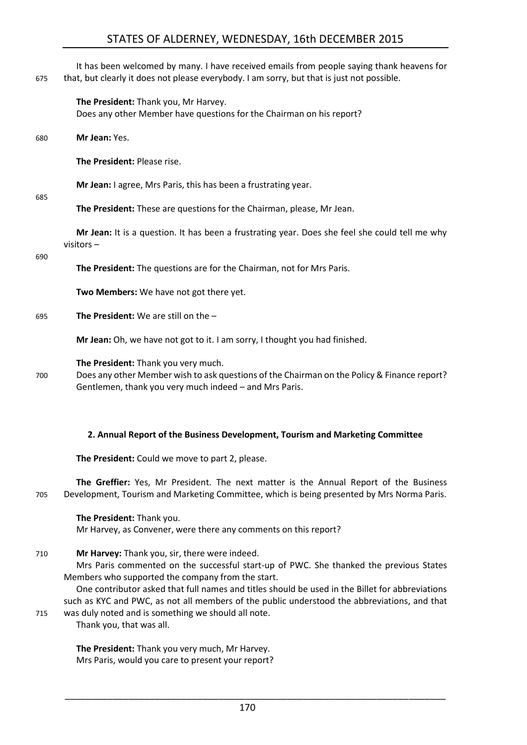It has been welcomed by many. I have received emails from people saying thank heavens for 675 that, but clearly it does not please everybody. I am sorry, but that is just not possible.

#### **The President:** Thank you, Mr Harvey.

Does any other Member have questions for the Chairman on his report?

680 **Mr Jean:** Yes.

**The President:** Please rise.

**Mr Jean:** I agree, Mrs Paris, this has been a frustrating year.

685

**The President:** These are questions for the Chairman, please, Mr Jean.

**Mr Jean:** It is a question. It has been a frustrating year. Does she feel she could tell me why visitors –

#### 690

**The President:** The questions are for the Chairman, not for Mrs Paris.

**Two Members:** We have not got there yet.

695 **The President:** We are still on the –

**Mr Jean:** Oh, we have not got to it. I am sorry, I thought you had finished.

**The President:** Thank you very much.

700 Does any other Member wish to ask questions of the Chairman on the Policy & Finance report? Gentlemen, thank you very much indeed – and Mrs Paris.

#### <span id="page-17-0"></span>**2. Annual Report of the Business Development, Tourism and Marketing Committee**

**The President:** Could we move to part 2, please.

**The Greffier:** Yes, Mr President. The next matter is the Annual Report of the Business 705 Development, Tourism and Marketing Committee, which is being presented by Mrs Norma Paris.

### **The President:** Thank you.

Mr Harvey, as Convener, were there any comments on this report?

710 **Mr Harvey:** Thank you, sir, there were indeed.

Mrs Paris commented on the successful start-up of PWC. She thanked the previous States Members who supported the company from the start.

One contributor asked that full names and titles should be used in the Billet for abbreviations such as KYC and PWC, as not all members of the public understood the abbreviations, and that 715 was duly noted and is something we should all note.

Thank you, that was all.

**The President:** Thank you very much, Mr Harvey. Mrs Paris, would you care to present your report?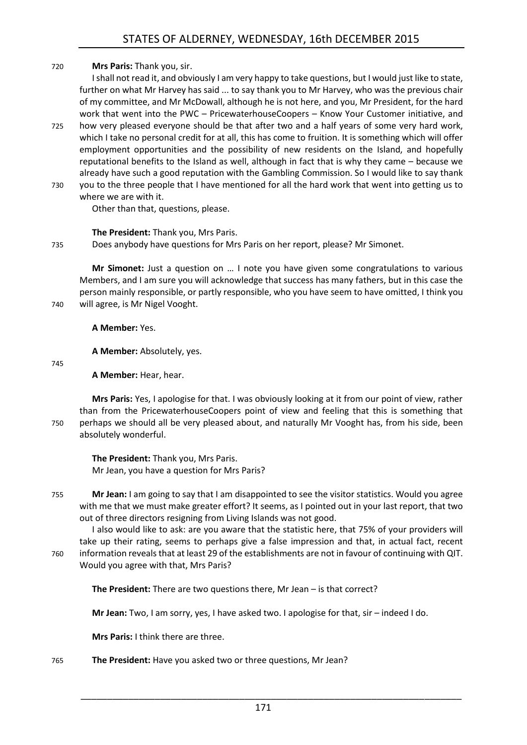# 720 **Mrs Paris:** Thank you, sir.

I shall not read it, and obviously I am very happy to take questions, but I would just like to state, further on what Mr Harvey has said ... to say thank you to Mr Harvey, who was the previous chair of my committee, and Mr McDowall, although he is not here, and you, Mr President, for the hard work that went into the PWC – PricewaterhouseCoopers – Know Your Customer initiative, and 725 how very pleased everyone should be that after two and a half years of some very hard work, which I take no personal credit for at all, this has come to fruition. It is something which will offer employment opportunities and the possibility of new residents on the Island, and hopefully reputational benefits to the Island as well, although in fact that is why they came – because we already have such a good reputation with the Gambling Commission. So I would like to say thank 730 you to the three people that I have mentioned for all the hard work that went into getting us to

where we are with it.

Other than that, questions, please.

# **The President:** Thank you, Mrs Paris.

735 Does anybody have questions for Mrs Paris on her report, please? Mr Simonet.

**Mr Simonet:** Just a question on … I note you have given some congratulations to various Members, and I am sure you will acknowledge that success has many fathers, but in this case the person mainly responsible, or partly responsible, who you have seem to have omitted, I think you 740 will agree, is Mr Nigel Vooght.

**A Member:** Yes.

**A Member:** Absolutely, yes.

745

**A Member:** Hear, hear.

**Mrs Paris:** Yes, I apologise for that. I was obviously looking at it from our point of view, rather than from the PricewaterhouseCoopers point of view and feeling that this is something that 750 perhaps we should all be very pleased about, and naturally Mr Vooght has, from his side, been absolutely wonderful.

**The President:** Thank you, Mrs Paris. Mr Jean, you have a question for Mrs Paris?

755 **Mr Jean:** I am going to say that I am disappointed to see the visitor statistics. Would you agree with me that we must make greater effort? It seems, as I pointed out in your last report, that two out of three directors resigning from Living Islands was not good.

I also would like to ask: are you aware that the statistic here, that 75% of your providers will take up their rating, seems to perhaps give a false impression and that, in actual fact, recent 760 information reveals that at least 29 of the establishments are not in favour of continuing with QIT. Would you agree with that, Mrs Paris?

**The President:** There are two questions there, Mr Jean – is that correct?

**Mr Jean:** Two, I am sorry, yes, I have asked two. I apologise for that, sir – indeed I do.

**Mrs Paris:** I think there are three.

# 765 **The President:** Have you asked two or three questions, Mr Jean?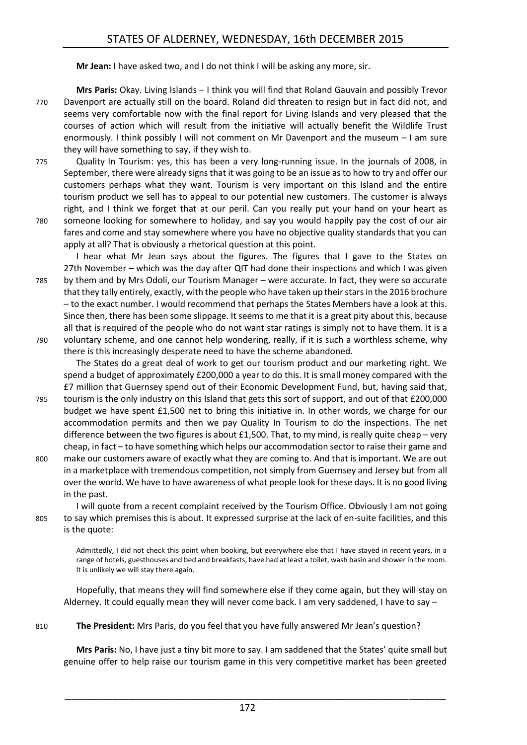**Mr Jean:** I have asked two, and I do not think I will be asking any more, sir.

**Mrs Paris:** Okay. Living Islands – I think you will find that Roland Gauvain and possibly Trevor 770 Davenport are actually still on the board. Roland did threaten to resign but in fact did not, and seems very comfortable now with the final report for Living Islands and very pleased that the courses of action which will result from the initiative will actually benefit the Wildlife Trust enormously. I think possibly I will not comment on Mr Davenport and the museum – I am sure they will have something to say, if they wish to.

775 Quality In Tourism: yes, this has been a very long-running issue. In the journals of 2008, in September, there were already signs that it was going to be an issue as to how to try and offer our customers perhaps what they want. Tourism is very important on this Island and the entire tourism product we sell has to appeal to our potential new customers. The customer is always right, and I think we forget that at our peril. Can you really put your hand on your heart as 780 someone looking for somewhere to holiday, and say you would happily pay the cost of our air fares and come and stay somewhere where you have no objective quality standards that you can

apply at all? That is obviously a rhetorical question at this point.

I hear what Mr Jean says about the figures. The figures that I gave to the States on 27th November – which was the day after QIT had done their inspections and which I was given 785 by them and by Mrs Odoli, our Tourism Manager – were accurate. In fact, they were so accurate that they tally entirely, exactly, with the people who have taken up their stars in the 2016 brochure – to the exact number. I would recommend that perhaps the States Members have a look at this. Since then, there has been some slippage. It seems to me that it is a great pity about this, because all that is required of the people who do not want star ratings is simply not to have them. It is a 790 voluntary scheme, and one cannot help wondering, really, if it is such a worthless scheme, why

there is this increasingly desperate need to have the scheme abandoned.

The States do a great deal of work to get our tourism product and our marketing right. We spend a budget of approximately £200,000 a year to do this. It is small money compared with the £7 million that Guernsey spend out of their Economic Development Fund, but, having said that,

- 795 tourism is the only industry on this Island that gets this sort of support, and out of that £200,000 budget we have spent £1,500 net to bring this initiative in. In other words, we charge for our accommodation permits and then we pay Quality In Tourism to do the inspections. The net difference between the two figures is about £1,500. That, to my mind, is really quite cheap – very cheap, in fact – to have something which helps our accommodation sector to raise their game and
- 800 make our customers aware of exactly what they are coming to. And that is important. We are out in a marketplace with tremendous competition, not simply from Guernsey and Jersey but from all over the world. We have to have awareness of what people look for these days. It is no good living in the past.

I will quote from a recent complaint received by the Tourism Office. Obviously I am not going 805 to say which premises this is about. It expressed surprise at the lack of en-suite facilities, and this is the quote:

Admittedly, I did not check this point when booking, but everywhere else that I have stayed in recent years, in a range of hotels, guesthouses and bed and breakfasts, have had at least a toilet, wash basin and shower in the room. It is unlikely we will stay there again.

Hopefully, that means they will find somewhere else if they come again, but they will stay on Alderney. It could equally mean they will never come back. I am very saddened, I have to say –

810 **The President:** Mrs Paris, do you feel that you have fully answered Mr Jean's question?

**Mrs Paris:** No, I have just a tiny bit more to say. I am saddened that the States' quite small but genuine offer to help raise our tourism game in this very competitive market has been greeted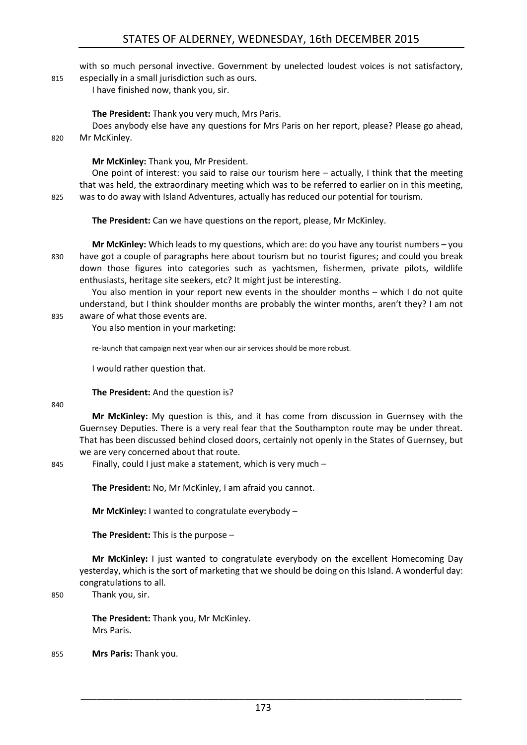with so much personal invective. Government by unelected loudest voices is not satisfactory, 815 especially in a small jurisdiction such as ours.

I have finished now, thank you, sir.

#### **The President:** Thank you very much, Mrs Paris.

Does anybody else have any questions for Mrs Paris on her report, please? Please go ahead, 820 Mr McKinley.

#### **Mr McKinley:** Thank you, Mr President.

One point of interest: you said to raise our tourism here – actually, I think that the meeting that was held, the extraordinary meeting which was to be referred to earlier on in this meeting, 825 was to do away with Island Adventures, actually has reduced our potential for tourism.

**The President:** Can we have questions on the report, please, Mr McKinley.

**Mr McKinley:** Which leads to my questions, which are: do you have any tourist numbers – you 830 have got a couple of paragraphs here about tourism but no tourist figures; and could you break down those figures into categories such as yachtsmen, fishermen, private pilots, wildlife enthusiasts, heritage site seekers, etc? It might just be interesting.

You also mention in your report new events in the shoulder months – which I do not quite understand, but I think shoulder months are probably the winter months, aren't they? I am not

# 835 aware of what those events are.

You also mention in your marketing:

re-launch that campaign next year when our air services should be more robust.

I would rather question that.

**The President:** And the question is?

840

**Mr McKinley:** My question is this, and it has come from discussion in Guernsey with the Guernsey Deputies. There is a very real fear that the Southampton route may be under threat. That has been discussed behind closed doors, certainly not openly in the States of Guernsey, but we are very concerned about that route.

845 Finally, could I just make a statement, which is very much –

**The President:** No, Mr McKinley, I am afraid you cannot.

**Mr McKinley:** I wanted to congratulate everybody –

**The President:** This is the purpose –

**Mr McKinley:** I just wanted to congratulate everybody on the excellent Homecoming Day yesterday, which is the sort of marketing that we should be doing on this Island. A wonderful day: congratulations to all.

850 Thank you, sir.

**The President:** Thank you, Mr McKinley. Mrs Paris.

855 **Mrs Paris:** Thank you.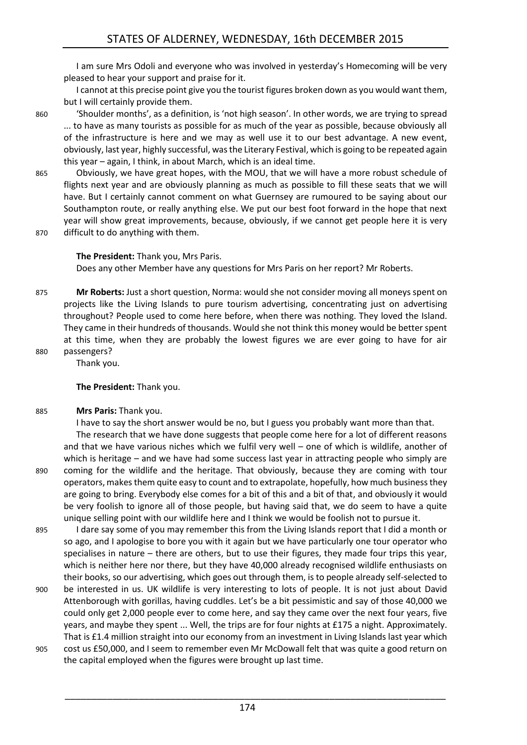I am sure Mrs Odoli and everyone who was involved in yesterday's Homecoming will be very pleased to hear your support and praise for it.

I cannot at this precise point give you the tourist figures broken down as you would want them, but I will certainly provide them.

860 'Shoulder months', as a definition, is 'not high season'. In other words, we are trying to spread ... to have as many tourists as possible for as much of the year as possible, because obviously all of the infrastructure is here and we may as well use it to our best advantage. A new event, obviously, last year, highly successful, was the Literary Festival, which is going to be repeated again this year – again, I think, in about March, which is an ideal time.

- 865 Obviously, we have great hopes, with the MOU, that we will have a more robust schedule of flights next year and are obviously planning as much as possible to fill these seats that we will have. But I certainly cannot comment on what Guernsey are rumoured to be saying about our Southampton route, or really anything else. We put our best foot forward in the hope that next year will show great improvements, because, obviously, if we cannot get people here it is very
- 870 difficult to do anything with them.

**The President:** Thank you, Mrs Paris. Does any other Member have any questions for Mrs Paris on her report? Mr Roberts.

- 875 **Mr Roberts:** Just a short question, Norma: would she not consider moving all moneys spent on projects like the Living Islands to pure tourism advertising, concentrating just on advertising throughout? People used to come here before, when there was nothing. They loved the Island. They came in their hundreds of thousands. Would she not think this money would be better spent at this time, when they are probably the lowest figures we are ever going to have for air 880 passengers?
- 

Thank you.

#### **The President:** Thank you.

### 885 **Mrs Paris:** Thank you.

I have to say the short answer would be no, but I guess you probably want more than that.

The research that we have done suggests that people come here for a lot of different reasons and that we have various niches which we fulfil very well – one of which is wildlife, another of which is heritage – and we have had some success last year in attracting people who simply are 890 coming for the wildlife and the heritage. That obviously, because they are coming with tour operators, makes them quite easy to count and to extrapolate, hopefully, how much business they are going to bring. Everybody else comes for a bit of this and a bit of that, and obviously it would be very foolish to ignore all of those people, but having said that, we do seem to have a quite unique selling point with our wildlife here and I think we would be foolish not to pursue it.

895 I dare say some of you may remember this from the Living Islands report that I did a month or so ago, and I apologise to bore you with it again but we have particularly one tour operator who specialises in nature – there are others, but to use their figures, they made four trips this year, which is neither here nor there, but they have 40,000 already recognised wildlife enthusiasts on their books, so our advertising, which goes out through them, is to people already self-selected to

- 900 be interested in us. UK wildlife is very interesting to lots of people. It is not just about David Attenborough with gorillas, having cuddles. Let's be a bit pessimistic and say of those 40,000 we could only get 2,000 people ever to come here, and say they came over the next four years, five years, and maybe they spent ... Well, the trips are for four nights at £175 a night. Approximately. That is £1.4 million straight into our economy from an investment in Living Islands last year which
- 905 cost us £50,000, and I seem to remember even Mr McDowall felt that was quite a good return on the capital employed when the figures were brought up last time.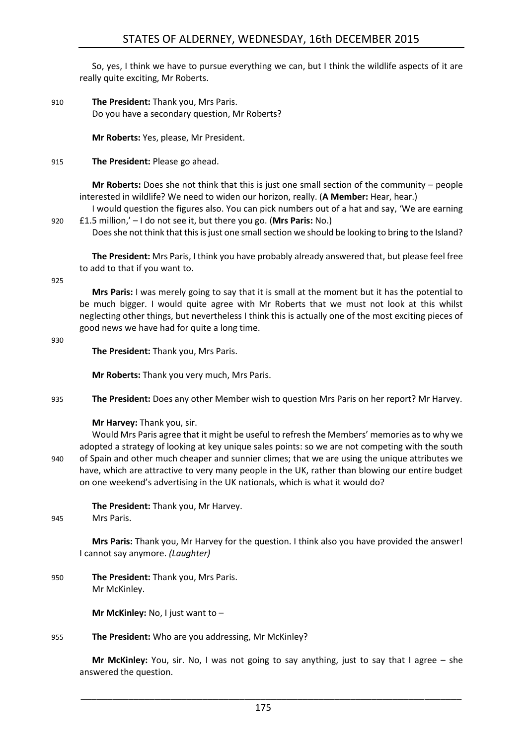So, yes, I think we have to pursue everything we can, but I think the wildlife aspects of it are really quite exciting, Mr Roberts.

910 **The President:** Thank you, Mrs Paris. Do you have a secondary question, Mr Roberts?

**Mr Roberts:** Yes, please, Mr President.

915 **The President:** Please go ahead.

**Mr Roberts:** Does she not think that this is just one small section of the community – people interested in wildlife? We need to widen our horizon, really. (**A Member:** Hear, hear.)

I would question the figures also. You can pick numbers out of a hat and say, 'We are earning 920 £1.5 million,' – I do not see it, but there you go. (**Mrs Paris:** No.)

Does she not think that this is just one small section we should be looking to bring to the Island?

**The President:** Mrs Paris, I think you have probably already answered that, but please feel free to add to that if you want to.

925

**Mrs Paris:** I was merely going to say that it is small at the moment but it has the potential to be much bigger. I would quite agree with Mr Roberts that we must not look at this whilst neglecting other things, but nevertheless I think this is actually one of the most exciting pieces of good news we have had for quite a long time.

930

**The President:** Thank you, Mrs Paris.

**Mr Roberts:** Thank you very much, Mrs Paris.

935 **The President:** Does any other Member wish to question Mrs Paris on her report? Mr Harvey.

#### **Mr Harvey:** Thank you, sir.

Would Mrs Paris agree that it might be useful to refresh the Members' memories as to why we adopted a strategy of looking at key unique sales points: so we are not competing with the south 940 of Spain and other much cheaper and sunnier climes; that we are using the unique attributes we have, which are attractive to very many people in the UK, rather than blowing our entire budget on one weekend's advertising in the UK nationals, which is what it would do?

**The President:** Thank you, Mr Harvey.

945 Mrs Paris.

**Mrs Paris:** Thank you, Mr Harvey for the question. I think also you have provided the answer! I cannot say anymore. *(Laughter)*

950 **The President:** Thank you, Mrs Paris. Mr McKinley.

**Mr McKinley:** No, I just want to –

955 **The President:** Who are you addressing, Mr McKinley?

**Mr McKinley:** You, sir. No, I was not going to say anything, just to say that I agree – she answered the question.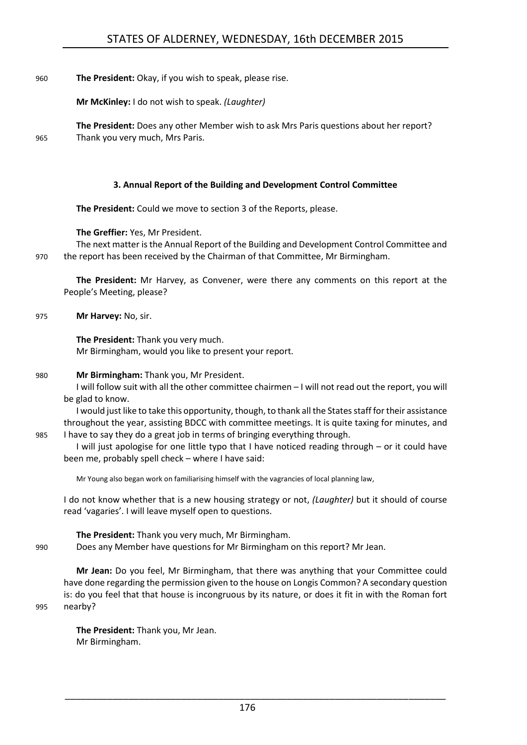960 **The President:** Okay, if you wish to speak, please rise.

**Mr McKinley:** I do not wish to speak. *(Laughter)*

**The President:** Does any other Member wish to ask Mrs Paris questions about her report? 965 Thank you very much, Mrs Paris.

#### **3. Annual Report of the Building and Development Control Committee**

<span id="page-23-0"></span>**The President:** Could we move to section 3 of the Reports, please.

**The Greffier:** Yes, Mr President.

The next matter is the Annual Report of the Building and Development Control Committee and 970 the report has been received by the Chairman of that Committee, Mr Birmingham.

**The President:** Mr Harvey, as Convener, were there any comments on this report at the People's Meeting, please?

975 **Mr Harvey:** No, sir.

**The President:** Thank you very much. Mr Birmingham, would you like to present your report.

#### 980 **Mr Birmingham:** Thank you, Mr President.

I will follow suit with all the other committee chairmen – I will not read out the report, you will be glad to know.

I would just like to take this opportunity, though, to thank all the States staff for their assistance throughout the year, assisting BDCC with committee meetings. It is quite taxing for minutes, and 985 I have to say they do a great job in terms of bringing everything through.

I will just apologise for one little typo that I have noticed reading through – or it could have been me, probably spell check – where I have said:

Mr Young also began work on familiarising himself with the vagrancies of local planning law,

I do not know whether that is a new housing strategy or not, *(Laughter)* but it should of course read 'vagaries'. I will leave myself open to questions.

**The President:** Thank you very much, Mr Birmingham.

990 Does any Member have questions for Mr Birmingham on this report? Mr Jean.

**Mr Jean:** Do you feel, Mr Birmingham, that there was anything that your Committee could have done regarding the permission given to the house on Longis Common? A secondary question is: do you feel that that house is incongruous by its nature, or does it fit in with the Roman fort 995 nearby?

**The President:** Thank you, Mr Jean. Mr Birmingham.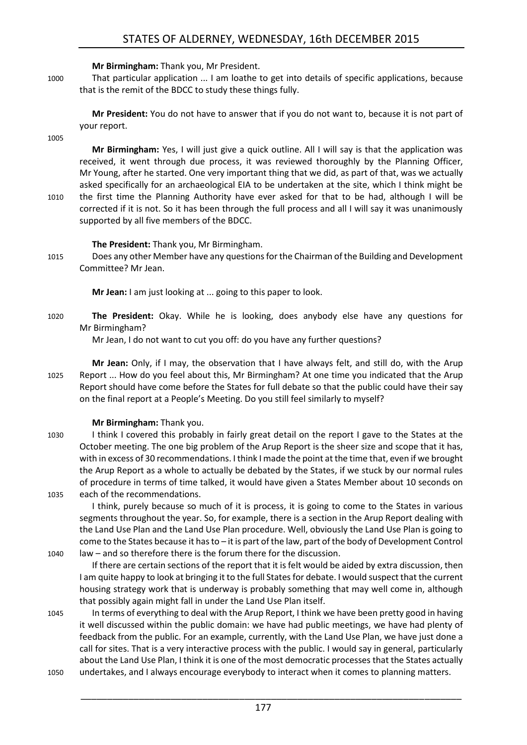#### **Mr Birmingham:** Thank you, Mr President.

1000 That particular application ... I am loathe to get into details of specific applications, because that is the remit of the BDCC to study these things fully.

**Mr President:** You do not have to answer that if you do not want to, because it is not part of your report.

1005

**Mr Birmingham:** Yes, I will just give a quick outline. All I will say is that the application was received, it went through due process, it was reviewed thoroughly by the Planning Officer, Mr Young, after he started. One very important thing that we did, as part of that, was we actually asked specifically for an archaeological EIA to be undertaken at the site, which I think might be 1010 the first time the Planning Authority have ever asked for that to be had, although I will be corrected if it is not. So it has been through the full process and all I will say it was unanimously

**The President:** Thank you, Mr Birmingham.

supported by all five members of the BDCC.

1015 Does any other Member have any questionsfor the Chairman of the Building and Development Committee? Mr Jean.

**Mr Jean:** I am just looking at ... going to this paper to look.

1020 **The President:** Okay. While he is looking, does anybody else have any questions for Mr Birmingham?

Mr Jean, I do not want to cut you off: do you have any further questions?

**Mr Jean:** Only, if I may, the observation that I have always felt, and still do, with the Arup 1025 Report ... How do you feel about this, Mr Birmingham? At one time you indicated that the Arup Report should have come before the States for full debate so that the public could have their say on the final report at a People's Meeting. Do you still feel similarly to myself?

### **Mr Birmingham:** Thank you.

1030 I think I covered this probably in fairly great detail on the report I gave to the States at the October meeting. The one big problem of the Arup Report is the sheer size and scope that it has, with in excess of 30 recommendations. I think I made the point at the time that, even if we brought the Arup Report as a whole to actually be debated by the States, if we stuck by our normal rules of procedure in terms of time talked, it would have given a States Member about 10 seconds on 1035 each of the recommendations.

I think, purely because so much of it is process, it is going to come to the States in various segments throughout the year. So, for example, there is a section in the Arup Report dealing with the Land Use Plan and the Land Use Plan procedure. Well, obviously the Land Use Plan is going to come to the States because it has to – it is part of the law, part of the body of Development Control 1040 law – and so therefore there is the forum there for the discussion.

If there are certain sections of the report that it is felt would be aided by extra discussion, then I am quite happy to look at bringing it to the full States for debate. I would suspect that the current housing strategy work that is underway is probably something that may well come in, although that possibly again might fall in under the Land Use Plan itself.

1045 In terms of everything to deal with the Arup Report, I think we have been pretty good in having it well discussed within the public domain: we have had public meetings, we have had plenty of feedback from the public. For an example, currently, with the Land Use Plan, we have just done a call for sites. That is a very interactive process with the public. I would say in general, particularly about the Land Use Plan, I think it is one of the most democratic processes that the States actually 1050 undertakes, and I always encourage everybody to interact when it comes to planning matters.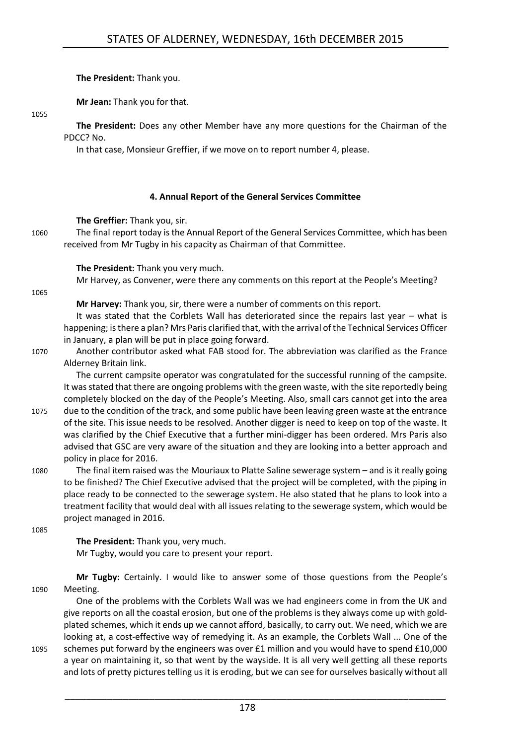**The President:** Thank you.

**Mr Jean:** Thank you for that.

1055

**The President:** Does any other Member have any more questions for the Chairman of the PDCC? No.

In that case, Monsieur Greffier, if we move on to report number 4, please.

#### **4. Annual Report of the General Services Committee**

<span id="page-25-0"></span>**The Greffier:** Thank you, sir.

1060 The final report today is the Annual Report of the General Services Committee, which has been received from Mr Tugby in his capacity as Chairman of that Committee.

**The President:** Thank you very much.

Mr Harvey, as Convener, were there any comments on this report at the People's Meeting?

1065

**Mr Harvey:** Thank you, sir, there were a number of comments on this report.

It was stated that the Corblets Wall has deteriorated since the repairs last year – what is happening; is there a plan? Mrs Paris clarified that, with the arrival of the Technical Services Officer in January, a plan will be put in place going forward.

1070 Another contributor asked what FAB stood for. The abbreviation was clarified as the France Alderney Britain link.

The current campsite operator was congratulated for the successful running of the campsite. It was stated that there are ongoing problems with the green waste, with the site reportedly being completely blocked on the day of the People's Meeting. Also, small cars cannot get into the area 1075 due to the condition of the track, and some public have been leaving green waste at the entrance

of the site. This issue needs to be resolved. Another digger is need to keep on top of the waste. It was clarified by the Chief Executive that a further mini-digger has been ordered. Mrs Paris also advised that GSC are very aware of the situation and they are looking into a better approach and policy in place for 2016.

1080 The final item raised was the Mouriaux to Platte Saline sewerage system – and is it really going to be finished? The Chief Executive advised that the project will be completed, with the piping in place ready to be connected to the sewerage system. He also stated that he plans to look into a treatment facility that would deal with all issues relating to the sewerage system, which would be project managed in 2016.

1085

**The President:** Thank you, very much. Mr Tugby, would you care to present your report.

**Mr Tugby:** Certainly. I would like to answer some of those questions from the People's 1090 Meeting.

One of the problems with the Corblets Wall was we had engineers come in from the UK and give reports on all the coastal erosion, but one of the problems is they always come up with goldplated schemes, which it ends up we cannot afford, basically, to carry out. We need, which we are looking at, a cost-effective way of remedying it. As an example, the Corblets Wall ... One of the 1095 schemes put forward by the engineers was over £1 million and you would have to spend £10,000

a year on maintaining it, so that went by the wayside. It is all very well getting all these reports and lots of pretty pictures telling us it is eroding, but we can see for ourselves basically without all